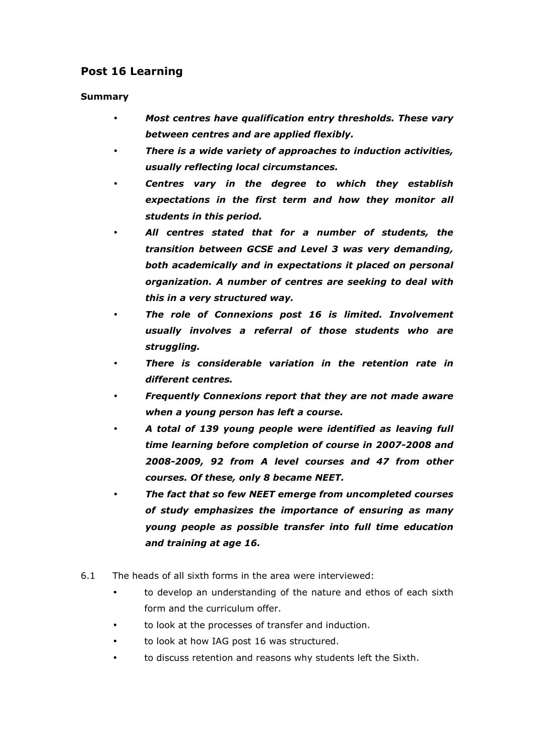## Post 16 Learning

### Summary

- Most centres have qualification entry thresholds. These vary between centres and are applied flexibly.
- There is a wide variety of approaches to induction activities, usually reflecting local circumstances.
- Centres vary in the degree to which they establish expectations in the first term and how they monitor all students in this period.
- All centres stated that for a number of students, the transition between GCSE and Level 3 was very demanding, both academically and in expectations it placed on personal organization. A number of centres are seeking to deal with this in a very structured way.
- The role of Connexions post 16 is limited. Involvement usually involves a referral of those students who are struggling.
- There is considerable variation in the retention rate in different centres.
- Frequently Connexions report that they are not made aware when a young person has left a course.
- A total of 139 young people were identified as leaving full time learning before completion of course in 2007-2008 and 2008-2009, 92 from A level courses and 47 from other courses. Of these, only 8 became NEET.
- The fact that so few NEET emerge from uncompleted courses of study emphasizes the importance of ensuring as many young people as possible transfer into full time education and training at age 16.
- 6.1 The heads of all sixth forms in the area were interviewed:
	- to develop an understanding of the nature and ethos of each sixth form and the curriculum offer.
	- to look at the processes of transfer and induction.
	- to look at how IAG post 16 was structured.
	- to discuss retention and reasons why students left the Sixth.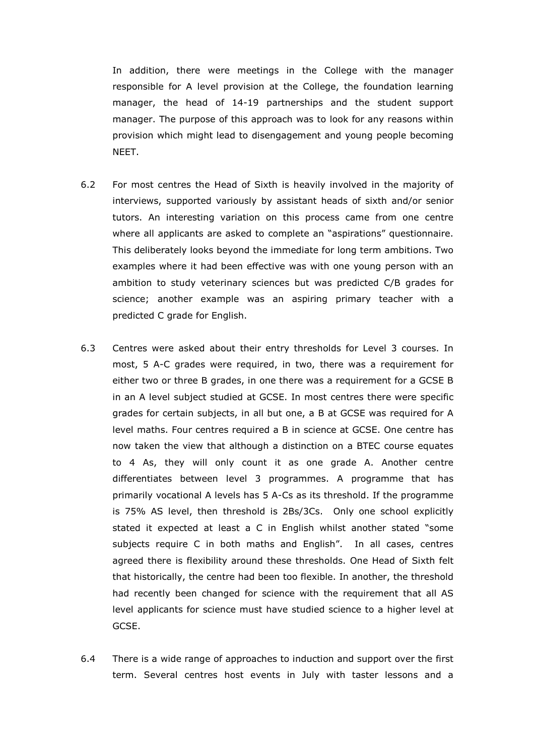In addition, there were meetings in the College with the manager responsible for A level provision at the College, the foundation learning manager, the head of 14-19 partnerships and the student support manager. The purpose of this approach was to look for any reasons within provision which might lead to disengagement and young people becoming NEET.

- 6.2 For most centres the Head of Sixth is heavily involved in the majority of interviews, supported variously by assistant heads of sixth and/or senior tutors. An interesting variation on this process came from one centre where all applicants are asked to complete an "aspirations" questionnaire. This deliberately looks beyond the immediate for long term ambitions. Two examples where it had been effective was with one young person with an ambition to study veterinary sciences but was predicted C/B grades for science; another example was an aspiring primary teacher with a predicted C grade for English.
- 6.3 Centres were asked about their entry thresholds for Level 3 courses. In most, 5 A-C grades were required, in two, there was a requirement for either two or three B grades, in one there was a requirement for a GCSE B in an A level subject studied at GCSE. In most centres there were specific grades for certain subjects, in all but one, a B at GCSE was required for A level maths. Four centres required a B in science at GCSE. One centre has now taken the view that although a distinction on a BTEC course equates to 4 As, they will only count it as one grade A. Another centre differentiates between level 3 programmes. A programme that has primarily vocational A levels has 5 A-Cs as its threshold. If the programme is 75% AS level, then threshold is 2Bs/3Cs. Only one school explicitly stated it expected at least a C in English whilst another stated "some subjects require C in both maths and English". In all cases, centres agreed there is flexibility around these thresholds. One Head of Sixth felt that historically, the centre had been too flexible. In another, the threshold had recently been changed for science with the requirement that all AS level applicants for science must have studied science to a higher level at GCSE.
- 6.4 There is a wide range of approaches to induction and support over the first term. Several centres host events in July with taster lessons and a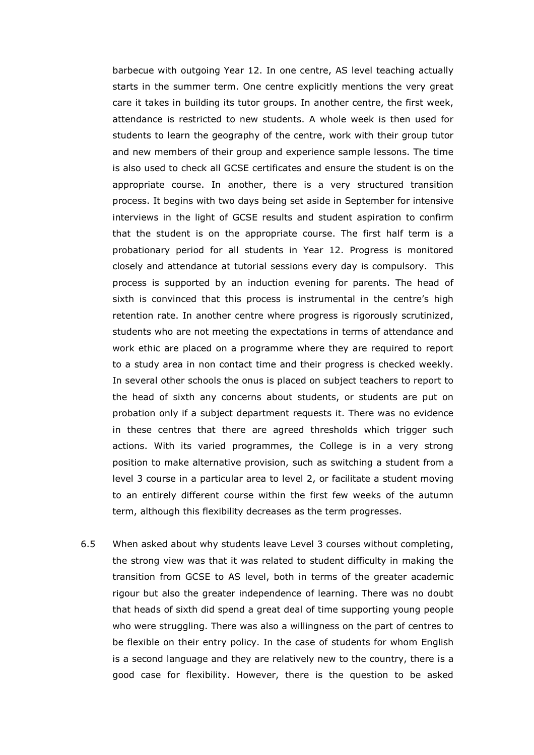barbecue with outgoing Year 12. In one centre, AS level teaching actually starts in the summer term. One centre explicitly mentions the very great care it takes in building its tutor groups. In another centre, the first week, attendance is restricted to new students. A whole week is then used for students to learn the geography of the centre, work with their group tutor and new members of their group and experience sample lessons. The time is also used to check all GCSE certificates and ensure the student is on the appropriate course. In another, there is a very structured transition process. It begins with two days being set aside in September for intensive interviews in the light of GCSE results and student aspiration to confirm that the student is on the appropriate course. The first half term is a probationary period for all students in Year 12. Progress is monitored closely and attendance at tutorial sessions every day is compulsory. This process is supported by an induction evening for parents. The head of sixth is convinced that this process is instrumental in the centre's high retention rate. In another centre where progress is rigorously scrutinized, students who are not meeting the expectations in terms of attendance and work ethic are placed on a programme where they are required to report to a study area in non contact time and their progress is checked weekly. In several other schools the onus is placed on subject teachers to report to the head of sixth any concerns about students, or students are put on probation only if a subject department requests it. There was no evidence in these centres that there are agreed thresholds which trigger such actions. With its varied programmes, the College is in a very strong position to make alternative provision, such as switching a student from a level 3 course in a particular area to level 2, or facilitate a student moving to an entirely different course within the first few weeks of the autumn term, although this flexibility decreases as the term progresses.

6.5 When asked about why students leave Level 3 courses without completing, the strong view was that it was related to student difficulty in making the transition from GCSE to AS level, both in terms of the greater academic rigour but also the greater independence of learning. There was no doubt that heads of sixth did spend a great deal of time supporting young people who were struggling. There was also a willingness on the part of centres to be flexible on their entry policy. In the case of students for whom English is a second language and they are relatively new to the country, there is a good case for flexibility. However, there is the question to be asked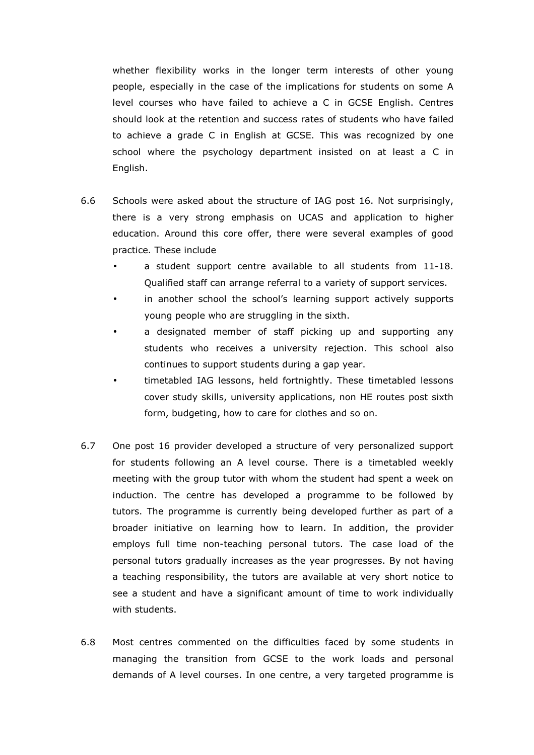whether flexibility works in the longer term interests of other young people, especially in the case of the implications for students on some A level courses who have failed to achieve a C in GCSE English. Centres should look at the retention and success rates of students who have failed to achieve a grade C in English at GCSE. This was recognized by one school where the psychology department insisted on at least a C in English.

- 6.6 Schools were asked about the structure of IAG post 16. Not surprisingly, there is a very strong emphasis on UCAS and application to higher education. Around this core offer, there were several examples of good practice. These include
	- a student support centre available to all students from 11-18. Qualified staff can arrange referral to a variety of support services.
	- in another school the school's learning support actively supports young people who are struggling in the sixth.
	- a designated member of staff picking up and supporting any students who receives a university rejection. This school also continues to support students during a gap year.
	- timetabled IAG lessons, held fortnightly. These timetabled lessons cover study skills, university applications, non HE routes post sixth form, budgeting, how to care for clothes and so on.
- 6.7 One post 16 provider developed a structure of very personalized support for students following an A level course. There is a timetabled weekly meeting with the group tutor with whom the student had spent a week on induction. The centre has developed a programme to be followed by tutors. The programme is currently being developed further as part of a broader initiative on learning how to learn. In addition, the provider employs full time non-teaching personal tutors. The case load of the personal tutors gradually increases as the year progresses. By not having a teaching responsibility, the tutors are available at very short notice to see a student and have a significant amount of time to work individually with students.
- 6.8 Most centres commented on the difficulties faced by some students in managing the transition from GCSE to the work loads and personal demands of A level courses. In one centre, a very targeted programme is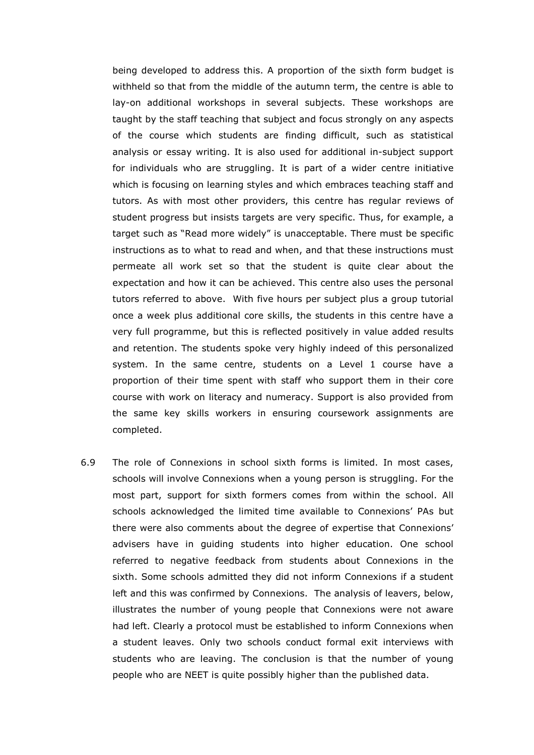being developed to address this. A proportion of the sixth form budget is withheld so that from the middle of the autumn term, the centre is able to lay-on additional workshops in several subjects. These workshops are taught by the staff teaching that subject and focus strongly on any aspects of the course which students are finding difficult, such as statistical analysis or essay writing. It is also used for additional in-subject support for individuals who are struggling. It is part of a wider centre initiative which is focusing on learning styles and which embraces teaching staff and tutors. As with most other providers, this centre has regular reviews of student progress but insists targets are very specific. Thus, for example, a target such as "Read more widely" is unacceptable. There must be specific instructions as to what to read and when, and that these instructions must permeate all work set so that the student is quite clear about the expectation and how it can be achieved. This centre also uses the personal tutors referred to above. With five hours per subject plus a group tutorial once a week plus additional core skills, the students in this centre have a very full programme, but this is reflected positively in value added results and retention. The students spoke very highly indeed of this personalized system. In the same centre, students on a Level 1 course have a proportion of their time spent with staff who support them in their core course with work on literacy and numeracy. Support is also provided from the same key skills workers in ensuring coursework assignments are completed.

6.9 The role of Connexions in school sixth forms is limited. In most cases, schools will involve Connexions when a young person is struggling. For the most part, support for sixth formers comes from within the school. All schools acknowledged the limited time available to Connexions' PAs but there were also comments about the degree of expertise that Connexions' advisers have in guiding students into higher education. One school referred to negative feedback from students about Connexions in the sixth. Some schools admitted they did not inform Connexions if a student left and this was confirmed by Connexions. The analysis of leavers, below, illustrates the number of young people that Connexions were not aware had left. Clearly a protocol must be established to inform Connexions when a student leaves. Only two schools conduct formal exit interviews with students who are leaving. The conclusion is that the number of young people who are NEET is quite possibly higher than the published data.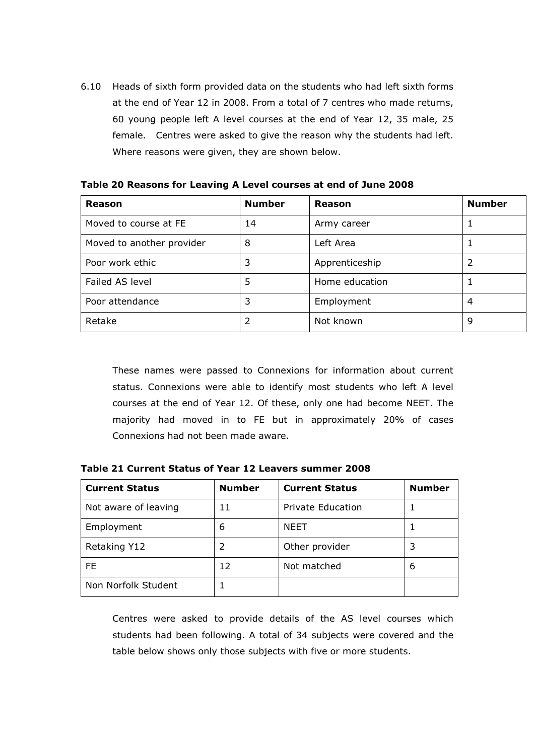6.10 Heads of sixth form provided data on the students who had left sixth forms at the end of Year 12 in 2008. From a total of 7 centres who made returns, 60 young people left A level courses at the end of Year 12, 35 male, 25 female. Centres were asked to give the reason why the students had left. Where reasons were given, they are shown below.

| Reason                    | <b>Number</b> | Reason         | <b>Number</b> |
|---------------------------|---------------|----------------|---------------|
| Moved to course at FE     | 14            | Army career    |               |
| Moved to another provider | 8             | Left Area      |               |
| Poor work ethic           | 3             | Apprenticeship |               |
| Failed AS level           | 5             | Home education |               |
| Poor attendance           | 3             | Employment     | 4             |
| Retake                    | 2             | Not known      | 9             |

Table 20 Reasons for Leaving A Level courses at end of June 2008

 These names were passed to Connexions for information about current status. Connexions were able to identify most students who left A level courses at the end of Year 12. Of these, only one had become NEET. The majority had moved in to FE but in approximately 20% of cases Connexions had not been made aware.

Table 21 Current Status of Year 12 Leavers summer 2008

| <b>Current Status</b> | <b>Number</b> | <b>Current Status</b>    | <b>Number</b> |
|-----------------------|---------------|--------------------------|---------------|
| Not aware of leaving  | 11            | <b>Private Education</b> |               |
| Employment            | 6             | <b>NEET</b>              |               |
| Retaking Y12          | 2             | Other provider           | 3             |
| FF                    | 12            | Not matched              | 6             |
| Non Norfolk Student   |               |                          |               |

 Centres were asked to provide details of the AS level courses which students had been following. A total of 34 subjects were covered and the table below shows only those subjects with five or more students.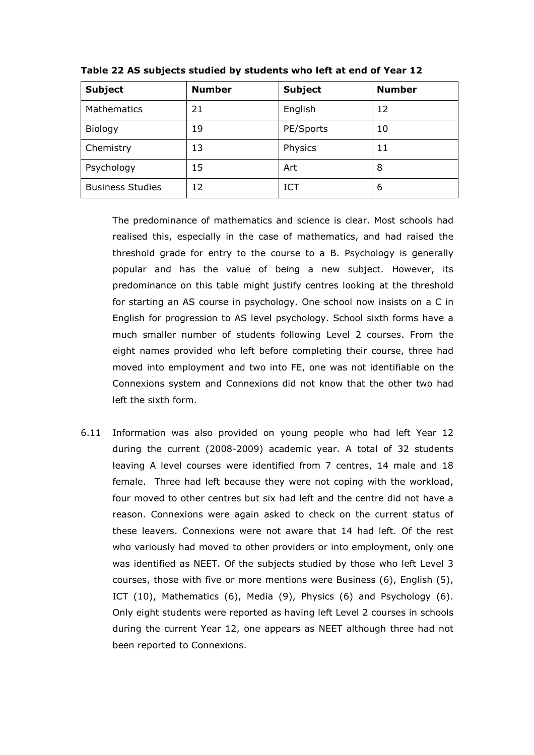| <b>Subject</b>          | <b>Number</b> | <b>Subject</b> | <b>Number</b> |
|-------------------------|---------------|----------------|---------------|
| Mathematics             | 21            | English        | 12            |
| Biology                 | 19            | PE/Sports      | 10            |
| Chemistry               | 13            | Physics        | 11            |
| Psychology              | 15            | Art            | 8             |
| <b>Business Studies</b> | 12            | <b>ICT</b>     | 6             |

Table 22 AS subjects studied by students who left at end of Year 12

 The predominance of mathematics and science is clear. Most schools had realised this, especially in the case of mathematics, and had raised the threshold grade for entry to the course to a B. Psychology is generally popular and has the value of being a new subject. However, its predominance on this table might justify centres looking at the threshold for starting an AS course in psychology. One school now insists on a C in English for progression to AS level psychology. School sixth forms have a much smaller number of students following Level 2 courses. From the eight names provided who left before completing their course, three had moved into employment and two into FE, one was not identifiable on the Connexions system and Connexions did not know that the other two had left the sixth form.

6.11 Information was also provided on young people who had left Year 12 during the current (2008-2009) academic year. A total of 32 students leaving A level courses were identified from 7 centres, 14 male and 18 female. Three had left because they were not coping with the workload, four moved to other centres but six had left and the centre did not have a reason. Connexions were again asked to check on the current status of these leavers. Connexions were not aware that 14 had left. Of the rest who variously had moved to other providers or into employment, only one was identified as NEET. Of the subjects studied by those who left Level 3 courses, those with five or more mentions were Business (6), English (5), ICT (10), Mathematics (6), Media (9), Physics (6) and Psychology (6). Only eight students were reported as having left Level 2 courses in schools during the current Year 12, one appears as NEET although three had not been reported to Connexions.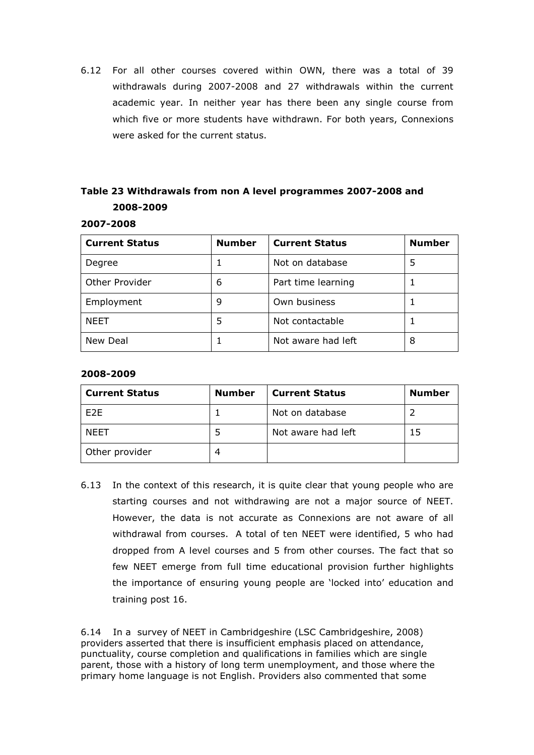6.12 For all other courses covered within OWN, there was a total of 39 withdrawals during 2007-2008 and 27 withdrawals within the current academic year. In neither year has there been any single course from which five or more students have withdrawn. For both years, Connexions were asked for the current status.

# Table 23 Withdrawals from non A level programmes 2007-2008 and 2008-2009

### 2007-2008

| <b>Current Status</b> | <b>Number</b> | <b>Current Status</b> | <b>Number</b> |
|-----------------------|---------------|-----------------------|---------------|
| Degree                |               | Not on database       | 5             |
| Other Provider        | 6             | Part time learning    |               |
| Employment            | 9             | Own business          |               |
| <b>NEET</b>           | 5             | Not contactable       |               |
| New Deal              |               | Not aware had left    | 8             |

### 2008-2009

| <b>Current Status</b> | <b>Number</b> | <b>Current Status</b> | <b>Number</b> |
|-----------------------|---------------|-----------------------|---------------|
| F <sub>2</sub> E      |               | Not on database       |               |
| <b>NEET</b>           |               | Not aware had left    | 15            |
| Other provider        |               |                       |               |

6.13 In the context of this research, it is quite clear that young people who are starting courses and not withdrawing are not a major source of NEET. However, the data is not accurate as Connexions are not aware of all withdrawal from courses. A total of ten NEET were identified, 5 who had dropped from A level courses and 5 from other courses. The fact that so few NEET emerge from full time educational provision further highlights the importance of ensuring young people are 'locked into' education and training post 16.

6.14 In a survey of NEET in Cambridgeshire (LSC Cambridgeshire, 2008) providers asserted that there is insufficient emphasis placed on attendance, punctuality, course completion and qualifications in families which are single parent, those with a history of long term unemployment, and those where the primary home language is not English. Providers also commented that some